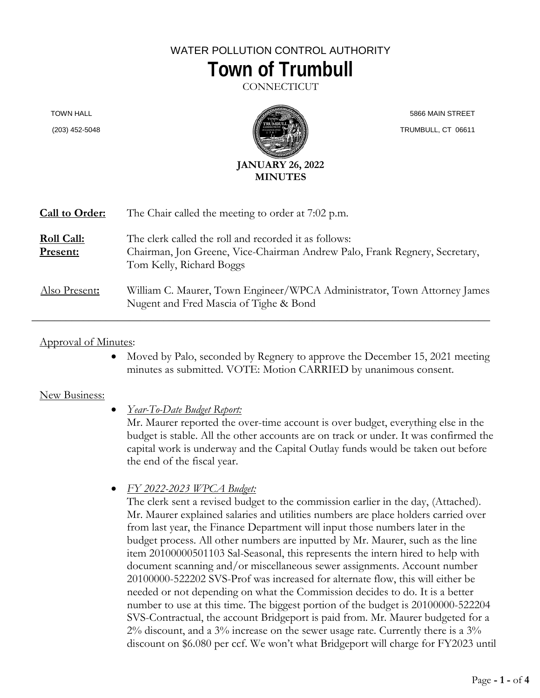## WATER POLLUTION CONTROL AUTHORITY **Town of Trumbull**

**CONNECTICUT** 

TOWN HALL

(203) 452-5048



 5866 MAIN STREET TRUMBULL, CT 06611

| Call to Order:                | The Chair called the meeting to order at 7:02 p.m.                                                                                                              |
|-------------------------------|-----------------------------------------------------------------------------------------------------------------------------------------------------------------|
| <b>Roll Call:</b><br>Present: | The clerk called the roll and recorded it as follows:<br>Chairman, Jon Greene, Vice-Chairman Andrew Palo, Frank Regnery, Secretary,<br>Tom Kelly, Richard Boggs |
| Also Present:                 | William C. Maurer, Town Engineer/WPCA Administrator, Town Attorney James<br>Nugent and Fred Mascia of Tighe & Bond                                              |

## Approval of Minutes:

• Moved by Palo, seconded by Regnery to approve the December 15, 2021 meeting minutes as submitted. VOTE: Motion CARRIED by unanimous consent.

## New Business:

• *Year-To-Date Budget Report:* 

Mr. Maurer reported the over-time account is over budget, everything else in the budget is stable. All the other accounts are on track or under. It was confirmed the capital work is underway and the Capital Outlay funds would be taken out before the end of the fiscal year.

• *FY 2022-2023 WPCA Budget:* 

The clerk sent a revised budget to the commission earlier in the day, (Attached). Mr. Maurer explained salaries and utilities numbers are place holders carried over from last year, the Finance Department will input those numbers later in the budget process. All other numbers are inputted by Mr. Maurer, such as the line item 20100000501103 Sal-Seasonal, this represents the intern hired to help with document scanning and/or miscellaneous sewer assignments. Account number 20100000-522202 SVS-Prof was increased for alternate flow, this will either be needed or not depending on what the Commission decides to do. It is a better number to use at this time. The biggest portion of the budget is 20100000-522204 SVS-Contractual, the account Bridgeport is paid from. Mr. Maurer budgeted for a 2% discount, and a 3% increase on the sewer usage rate. Currently there is a 3% discount on \$6.080 per ccf. We won't what Bridgeport will charge for FY2023 until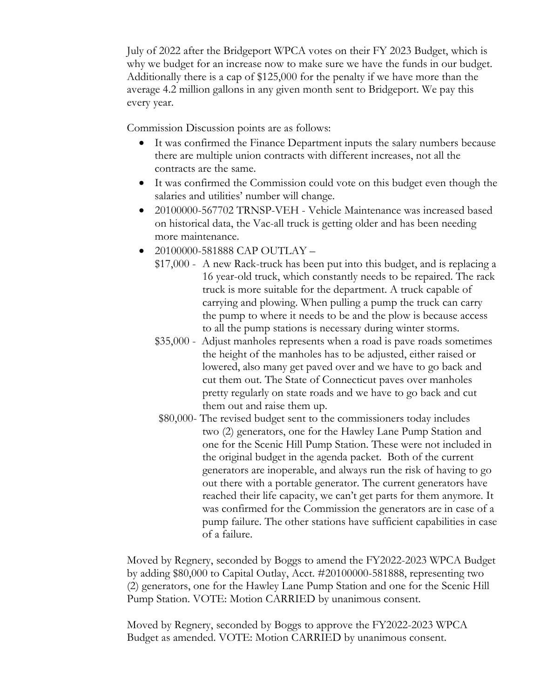July of 2022 after the Bridgeport WPCA votes on their FY 2023 Budget, which is why we budget for an increase now to make sure we have the funds in our budget. Additionally there is a cap of \$125,000 for the penalty if we have more than the average 4.2 million gallons in any given month sent to Bridgeport. We pay this every year.

Commission Discussion points are as follows:

- It was confirmed the Finance Department inputs the salary numbers because there are multiple union contracts with different increases, not all the contracts are the same.
- It was confirmed the Commission could vote on this budget even though the salaries and utilities' number will change.
- 20100000-567702 TRNSP-VEH Vehicle Maintenance was increased based on historical data, the Vac-all truck is getting older and has been needing more maintenance.
- 20100000-581888 CAP OUTLAY
	- \$17,000 A new Rack-truck has been put into this budget, and is replacing a 16 year-old truck, which constantly needs to be repaired. The rack truck is more suitable for the department. A truck capable of carrying and plowing. When pulling a pump the truck can carry the pump to where it needs to be and the plow is because access to all the pump stations is necessary during winter storms.
	- \$35,000 Adjust manholes represents when a road is pave roads sometimes the height of the manholes has to be adjusted, either raised or lowered, also many get paved over and we have to go back and cut them out. The State of Connecticut paves over manholes pretty regularly on state roads and we have to go back and cut them out and raise them up.
	- \$80,000- The revised budget sent to the commissioners today includes two (2) generators, one for the Hawley Lane Pump Station and one for the Scenic Hill Pump Station. These were not included in the original budget in the agenda packet. Both of the current generators are inoperable, and always run the risk of having to go out there with a portable generator. The current generators have reached their life capacity, we can't get parts for them anymore. It was confirmed for the Commission the generators are in case of a pump failure. The other stations have sufficient capabilities in case of a failure.

Moved by Regnery, seconded by Boggs to amend the FY2022-2023 WPCA Budget by adding \$80,000 to Capital Outlay, Acct. #20100000-581888, representing two (2) generators, one for the Hawley Lane Pump Station and one for the Scenic Hill Pump Station. VOTE: Motion CARRIED by unanimous consent.

Moved by Regnery, seconded by Boggs to approve the FY2022-2023 WPCA Budget as amended. VOTE: Motion CARRIED by unanimous consent.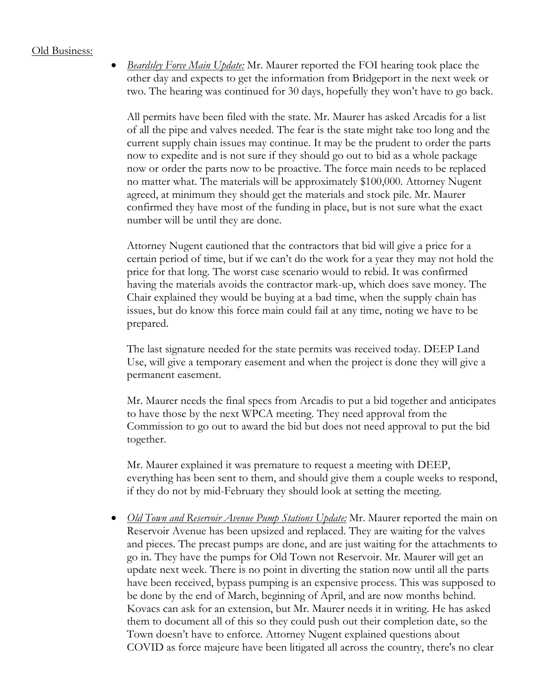## Old Business:

• *Beardsley Force Main Update:* Mr. Maurer reported the FOI hearing took place the other day and expects to get the information from Bridgeport in the next week or two. The hearing was continued for 30 days, hopefully they won't have to go back.

All permits have been filed with the state. Mr. Maurer has asked Arcadis for a list of all the pipe and valves needed. The fear is the state might take too long and the current supply chain issues may continue. It may be the prudent to order the parts now to expedite and is not sure if they should go out to bid as a whole package now or order the parts now to be proactive. The force main needs to be replaced no matter what. The materials will be approximately \$100,000. Attorney Nugent agreed, at minimum they should get the materials and stock pile. Mr. Maurer confirmed they have most of the funding in place, but is not sure what the exact number will be until they are done.

Attorney Nugent cautioned that the contractors that bid will give a price for a certain period of time, but if we can't do the work for a year they may not hold the price for that long. The worst case scenario would to rebid. It was confirmed having the materials avoids the contractor mark-up, which does save money. The Chair explained they would be buying at a bad time, when the supply chain has issues, but do know this force main could fail at any time, noting we have to be prepared.

The last signature needed for the state permits was received today. DEEP Land Use, will give a temporary easement and when the project is done they will give a permanent easement.

Mr. Maurer needs the final specs from Arcadis to put a bid together and anticipates to have those by the next WPCA meeting. They need approval from the Commission to go out to award the bid but does not need approval to put the bid together.

Mr. Maurer explained it was premature to request a meeting with DEEP, everything has been sent to them, and should give them a couple weeks to respond, if they do not by mid-February they should look at setting the meeting.

• *Old Town and Reservoir Avenue Pump Stations Update:* Mr. Maurer reported the main on Reservoir Avenue has been upsized and replaced. They are waiting for the valves and pieces. The precast pumps are done, and are just waiting for the attachments to go in. They have the pumps for Old Town not Reservoir. Mr. Maurer will get an update next week. There is no point in diverting the station now until all the parts have been received, bypass pumping is an expensive process. This was supposed to be done by the end of March, beginning of April, and are now months behind. Kovacs can ask for an extension, but Mr. Maurer needs it in writing. He has asked them to document all of this so they could push out their completion date, so the Town doesn't have to enforce. Attorney Nugent explained questions about COVID as force majeure have been litigated all across the country, there's no clear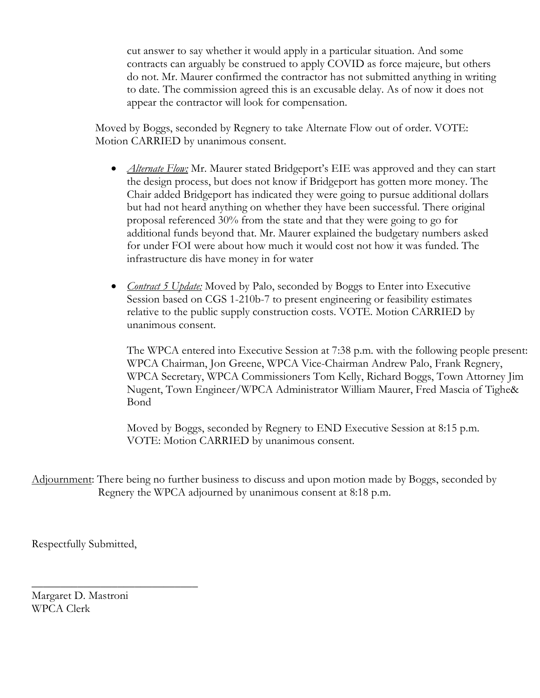cut answer to say whether it would apply in a particular situation. And some contracts can arguably be construed to apply COVID as force majeure, but others do not. Mr. Maurer confirmed the contractor has not submitted anything in writing to date. The commission agreed this is an excusable delay. As of now it does not appear the contractor will look for compensation.

Moved by Boggs, seconded by Regnery to take Alternate Flow out of order. VOTE: Motion CARRIED by unanimous consent.

- *Alternate Flow*: Mr. Maurer stated Bridgeport's EIE was approved and they can start the design process, but does not know if Bridgeport has gotten more money. The Chair added Bridgeport has indicated they were going to pursue additional dollars but had not heard anything on whether they have been successful. There original proposal referenced 30% from the state and that they were going to go for additional funds beyond that. Mr. Maurer explained the budgetary numbers asked for under FOI were about how much it would cost not how it was funded. The infrastructure dis have money in for water
- *Contract 5 Update:* Moved by Palo, seconded by Boggs to Enter into Executive Session based on CGS 1-210b-7 to present engineering or feasibility estimates relative to the public supply construction costs. VOTE. Motion CARRIED by unanimous consent.

The WPCA entered into Executive Session at 7:38 p.m. with the following people present: WPCA Chairman, Jon Greene, WPCA Vice-Chairman Andrew Palo, Frank Regnery, WPCA Secretary, WPCA Commissioners Tom Kelly, Richard Boggs, Town Attorney Jim Nugent, Town Engineer/WPCA Administrator William Maurer, Fred Mascia of Tighe& Bond

Moved by Boggs, seconded by Regnery to END Executive Session at 8:15 p.m. VOTE: Motion CARRIED by unanimous consent.

Adjournment: There being no further business to discuss and upon motion made by Boggs, seconded by Regnery the WPCA adjourned by unanimous consent at 8:18 p.m.

Respectfully Submitted,

\_\_\_\_\_\_\_\_\_\_\_\_\_\_\_\_\_\_\_\_\_\_\_\_\_\_\_\_\_

Margaret D. Mastroni WPCA Clerk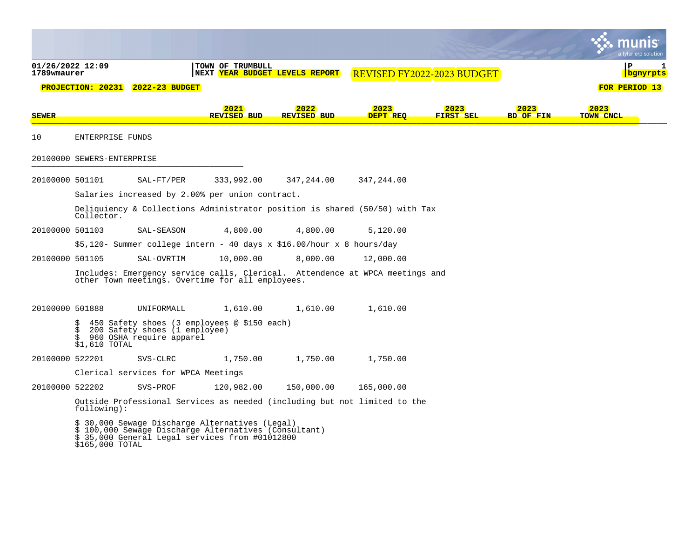|                                 |                            |                                                                                                                                                             |                            |           |                                                                               |                  |                            |                          |                   | a tyler erp solutior |
|---------------------------------|----------------------------|-------------------------------------------------------------------------------------------------------------------------------------------------------------|----------------------------|-----------|-------------------------------------------------------------------------------|------------------|----------------------------|--------------------------|-------------------|----------------------|
| 01/26/2022 12:09<br>1789wmaurer |                            |                                                                                                                                                             | TOWN OF TRUMBULL           |           | NEXT <mark>YEAR BUDGET LEVELS REPORT</mark>                                   |                  | REVISED FY2022-2023 BUDGET |                          | P                 | 1<br>bgnyrpts        |
|                                 |                            | <b>PROJECTION: 20231 2022-23 BUDGET</b>                                                                                                                     |                            |           |                                                                               |                  |                            |                          | FOR PERIOD 13     |                      |
| <b>SEWER</b>                    |                            |                                                                                                                                                             | 2021<br><b>REVISED BUD</b> |           | 2022<br><b>REVISED BUD</b>                                                    | 2023<br>DEPT REO | 2023<br>FIRST SEL          | 2023<br><b>BD OF FIN</b> | 2023<br>TOWN CNCL |                      |
| 10                              | ENTERPRISE FUNDS           |                                                                                                                                                             |                            |           |                                                                               |                  |                            |                          |                   |                      |
|                                 | 20100000 SEWERS-ENTERPRISE |                                                                                                                                                             |                            |           |                                                                               |                  |                            |                          |                   |                      |
| 20100000 501101                 |                            | $SAL-FT/PER$                                                                                                                                                | 333,992.00                 |           | 347,244.00                                                                    | 347,244.00       |                            |                          |                   |                      |
|                                 |                            | Salaries increased by 2.00% per union contract.                                                                                                             |                            |           |                                                                               |                  |                            |                          |                   |                      |
|                                 | Collector.                 |                                                                                                                                                             |                            |           | Deliquiency & Collections Administrator position is shared $(50/50)$ with Tax |                  |                            |                          |                   |                      |
| 20100000 501103                 |                            | SAL-SEASON                                                                                                                                                  |                            | 4,800.00  | 4,800.00                                                                      | 5,120.00         |                            |                          |                   |                      |
|                                 |                            |                                                                                                                                                             |                            |           | \$5,120- Summer college intern - 40 days x \$16.00/hour x 8 hours/day         |                  |                            |                          |                   |                      |
| 20100000 501105                 |                            | SAL-OVRTIM                                                                                                                                                  |                            | 10,000.00 | 8,000.00                                                                      | 12,000.00        |                            |                          |                   |                      |
|                                 |                            | other Town meetings. Overtime for all employees.                                                                                                            |                            |           | Includes: Emergency service calls, Clerical. Attendence at WPCA meetings and  |                  |                            |                          |                   |                      |
| 20100000 501888                 |                            | UNIFORMALL                                                                                                                                                  |                            | 1,610.00  | 1,610.00                                                                      | 1,610.00         |                            |                          |                   |                      |
|                                 | S<br>\$<br>\$1,610 TOTAL   | 450 Safety shoes (3 employees @ \$150 each)<br>200 Safety shoes (1 employee)<br>960 OSHA require apparel                                                    |                            |           |                                                                               |                  |                            |                          |                   |                      |
| 20100000 522201                 |                            | SVS-CLRC                                                                                                                                                    |                            | 1,750.00  | 1,750.00                                                                      | 1,750.00         |                            |                          |                   |                      |
|                                 |                            | Clerical services for WPCA Meetings                                                                                                                         |                            |           |                                                                               |                  |                            |                          |                   |                      |
| 20100000 522202                 |                            | SVS-PROF                                                                                                                                                    | 120,982.00                 |           | 150,000.00                                                                    | 165,000.00       |                            |                          |                   |                      |
|                                 | $f$ ollowing):             |                                                                                                                                                             |                            |           | Outside Professional Services as needed (including but not limited to the     |                  |                            |                          |                   |                      |
|                                 | \$165,000 TOTAL            | \$ 30,000 Sewage Discharge Alternatives (Legal)<br>\$ 100,000 Sewage Discharge Alternatives (Consultant)<br>\$ 35,000 General Legal services from #01012800 |                            |           |                                                                               |                  |                            |                          |                   |                      |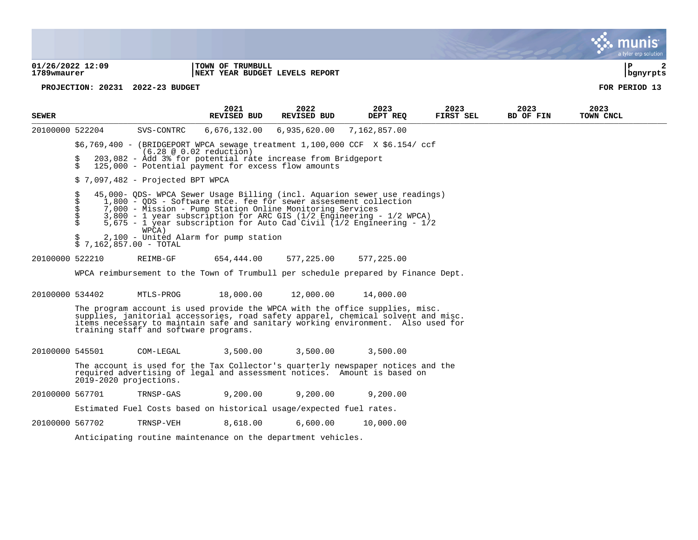**01/26/2022 12:09 |TOWN OF TRUMBULL |P 2** 1789wmaurer **| INEXT YEAR BUDGET LEVELS REPORT | INEXT YEAR BUDGET LEVELS REPORT PROJECTION: 20231 2022-23 BUDGET FOR PERIOD 13 2021 2022 2023 2023 2023 2023 SEWER REVISED BUD REVISED BUD DEPT REQ FIRST SEL BD OF FIN TOWN CNCL**  $\frac{1}{2}$ 20100000 522204 SVS-CONTRC 6,676,132.00 6,935,620.00 7,162,857.00 \$6,769,400 - (BRIDGEPORT WPCA sewage treatment 1,100,000 CCF X \$6.154/ ccf  $(6.28 \otimes 0.02 \text{ reduction})$ <br>  $(6.28 \otimes 0.02 \text{ reduction})$ <br>  $(6.28 \otimes 0.02 \text{ reduction})$ \$ 203,082 - Add 3% for potential rate increase from Bridgeport<br>\$ 125,000 - Potential payment for excess flow amounts  $125,000$  - Potential payment for excess flow amounts  $$7.097.482 -$  Projected BPT WPCA \$ 45,000- QDS- WPCA Sewer Usage Billing (incl. Aquarion sewer use readings) \$ 1,800 - QDS - Software mtce. fee for sewer assesement collection \$ 7,000 - Mission - Pump Station Online Monitoring Services \$ 3,800 - 1 year subscription for ARC GIS (1/2 Engineering - 1/2 WPCA) \$ 5,675 - 1 year subscription for Auto Cad Civil (1/2 Engineering - 1/2 WPCA) • • ~ . ••:·:•. **mun Is·** .. tyler erp solutic

- 2,100 United Alarm for pump station
- $$7,162,857.00 TOTAL$
- 20100000 522210 REIMB-GF 654,444.00 577,225.00 577,225.00

WPCA reimbursement to the Town of Trumbull per schedule prepared by Finance Dept.

20100000 534402 MTLS-PROG 18,000.00 12,000.00 14,000.00

The program account is used provide the WPCA with the office supplies, misc. supplies, janitorial accessories, road safety apparel, chemical solvent and misc. items necessary to maintain safe and sanitary working environment. Also used for training staff and software programs.

20100000 545501 COM-LEGAL 3,500.00 3,500.00 3,500.00

The account is used for the Tax Collector's quarterly newspaper notices and the required advertising of legal and assessment notices. Amount is based on 2019-2020 projections.

20100000 567701 TRNSP-GAS 9,200.00 9,200.00 9,200.00

Estimated Fuel Costs based on historical usage/expected fuel rates.

20100000 567702 TRNSP-VEH 8,618.00 6,600.00 10,000.00

Anticipating routine maintenance on the department vehicles.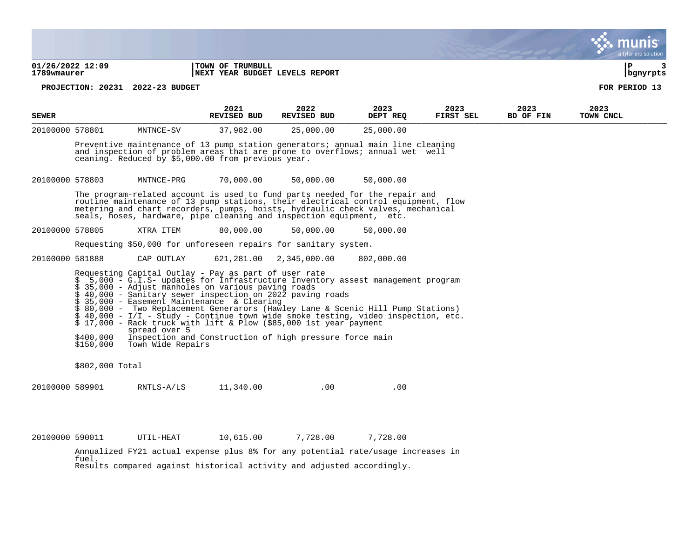**01/26/2022 12:09 |TOWN OF TRUMBULL |P 3** 1789wmaurer **| INEXT YEAR BUDGET LEVELS REPORT | INEXT YEAR BUDGET LEVELS REPORT PROJECTION: 20231 2022-23 BUDGET FOR PERIOD 13 2021 2022 2023 2023 2023 2023 SEWER REVISED BUD REVISED BUD DEPT REQ FIRST SEL BD OF FIN TOWN CNCL**  $\frac{1}{2}$ 20100000 578801 MNTNCE-SV 37,982.00 25,000.00 25,000.00 Preventive maintenance of 13 pump station generators; annual main line cleaning and inspection of problem areas that are prone to overflows; annual wet well ceaning. Reduced by \$5,000.00 from previous year. 20100000 578803 MNTNCE-PRG 70,000.00 50,000.00 50,000.00 The program-related account is used to fund parts needed for the repair and routine maintenance of 13 pump stations, their electrical control equipment, flow metering and chart recorders, pumps, hoists, hydraulic check valves, mechanical seals, hoses, hardware, pipe cleaning and inspection equipment, etc. 20100000 578805 XTRA ITEM 80,000.00 50,000.00 50,000.00 Requesting \$50,000 for unforeseen repairs for sanitary system. 20100000 581888 CAP OUTLAY 621,281.00 2,345,000.00 802,000.00 Requesting Capital Outlay - Pay as part of user rate \$ 5,000 - G.I.S- updates for Infrastructure Inventory assest management program \$ 35,000 - Adjust manholes on various paving roads \$ 40,000 - Sanitary sewer inspection on 2022 paving roads \$ 35,000 - Easement Maintenance & Clearing \$ 80,000 - Two Replacement Generarors (Hawley Lane & Scenic Hill Pump Stations) \$ 40,000 - I/I - Study - Continue town wide smoke testing, video inspection, etc. \$ 17,000 - Rack truck with lift & Plow (\$85,000 1st year payment spread over 5<br>\$400.000 Inspection and \$400,000 Inspection and Construction of high pressure force main<br>\$150,000 Town Wide Repairs Town Wide Repairs \$802,000 Total 20100000 589901 RNTLS-A/LS 11,340.00 .00 .00 .00 20100000 590011 UTIL-HEAT 10,615.00 7,728.00 7,728.00 Annualized FY21 actual expense plus 8% for any potential rate/usage increases in fuel. • • ~ . ••:·:•. **mun Is·** .. tyler erp solutic

Results compared against historical activity and adjusted accordingly.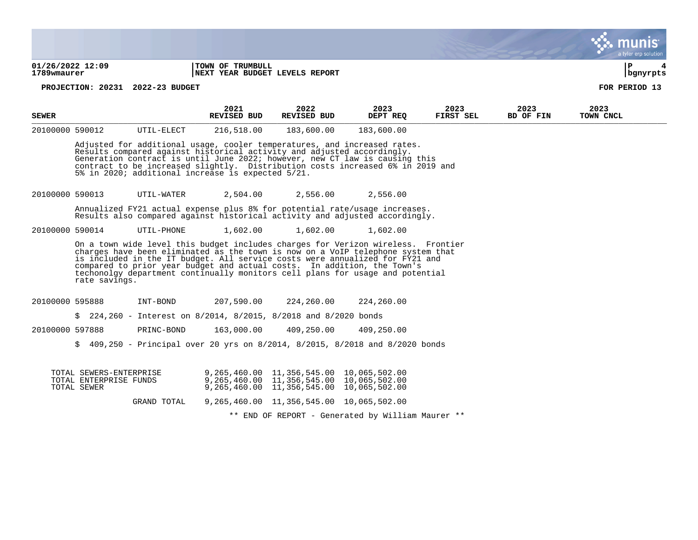**01/26/2022 12:09 |TOWN OF TRUMBULL |P 4 1789wmaurer |NEXT YEAR BUDGET LEVELS REPORT |bgnyrpts**

**PROJECTION: 20231 2022-23 BUDGET FOR PERIOD 13**

| <b>SEWER</b>                                                                                                                                              |                                                                                                                                                                                                                                                                                                                                                                          |            | 2021<br>REVISED BUD | 2022<br>REVISED BUD                                                              | 2023<br>DEPT REO | 2023<br>FIRST SEL | 2023<br>BD OF FIN | 2023<br>TOWN CNCL |  |
|-----------------------------------------------------------------------------------------------------------------------------------------------------------|--------------------------------------------------------------------------------------------------------------------------------------------------------------------------------------------------------------------------------------------------------------------------------------------------------------------------------------------------------------------------|------------|---------------------|----------------------------------------------------------------------------------|------------------|-------------------|-------------------|-------------------|--|
| 20100000 590012                                                                                                                                           |                                                                                                                                                                                                                                                                                                                                                                          | UTIL-ELECT | 216,518.00          | 183,600.00                                                                       | 183,600.00       |                   |                   |                   |  |
|                                                                                                                                                           | Adjusted for additional usage, cooler temperatures, and increased rates.<br>Results compared against historical activity and adjusted accordingly.<br>Generation contract is until June 2022; however, new CT law is causing this<br>contract to be increased slightly. Distribution costs increased 6% in 2019 and<br>5% in 2020; additional increase is expected 5/21. |            |                     |                                                                                  |                  |                   |                   |                   |  |
| 20100000 590013                                                                                                                                           |                                                                                                                                                                                                                                                                                                                                                                          | UTIL-WATER | 2,504.00            | 2,556.00                                                                         | 2,556.00         |                   |                   |                   |  |
| Annualized FY21 actual expense plus 8% for potential rate/usage increases.<br>Results also compared against historical activity and adjusted accordingly. |                                                                                                                                                                                                                                                                                                                                                                          |            |                     |                                                                                  |                  |                   |                   |                   |  |
| 20100000 590014                                                                                                                                           |                                                                                                                                                                                                                                                                                                                                                                          | UTIL-PHONE | 1,602.00            | 1,602.00                                                                         | 1,602.00         |                   |                   |                   |  |
|                                                                                                                                                           |                                                                                                                                                                                                                                                                                                                                                                          |            |                     | On a town wide level this budget includes sharees for Verigen wireless. Frontier |                  |                   |                   |                   |  |

On a town wide level this budget includes charges for Verizon wireless. Frontier charges have been eliminated as the town is now on a VoIP telephone system that is included in the IT budget. All service costs were annualized for FY21 and compared to prior year budget and actual costs. In addition, the Town's techonolgy department continually monitors cell plans for usage and potential rate savings.

20100000 595888 INT-BOND 207,590.00 224,260.00 224,260.00

\$ 224,260 - Interest on 8/2014, 8/2015, 8/2018 and 8/2020 bonds

20100000 597888 PRINC-BOND 163,000.00 409,250.00 409,250.00

\$ 409,250 - Principal over 20 yrs on 8/2014, 8/2015, 8/2018 and 8/2020 bonds

| TOTAL SEWERS-ENTERPRISE<br>TOTAL ENTERPRISE FUNDS<br>TOTAL SEWER | 9,265,460.00 11,356,545.00 10,065,502.00<br>9,265,460.00 11,356,545.00 10,065,502.00<br>9,265,460.00 11,356,545.00 10,065,502.00 |                                                   |  |
|------------------------------------------------------------------|----------------------------------------------------------------------------------------------------------------------------------|---------------------------------------------------|--|
| GRAND TOTAL                                                      | 9,265,460.00 11,356,545.00 10,065,502.00                                                                                         |                                                   |  |
|                                                                  |                                                                                                                                  | ** END OF REPORT - Generated by William Maurer ** |  |

• • ~ . ••:·:•. **mun Is·** .. tyler erp solutic